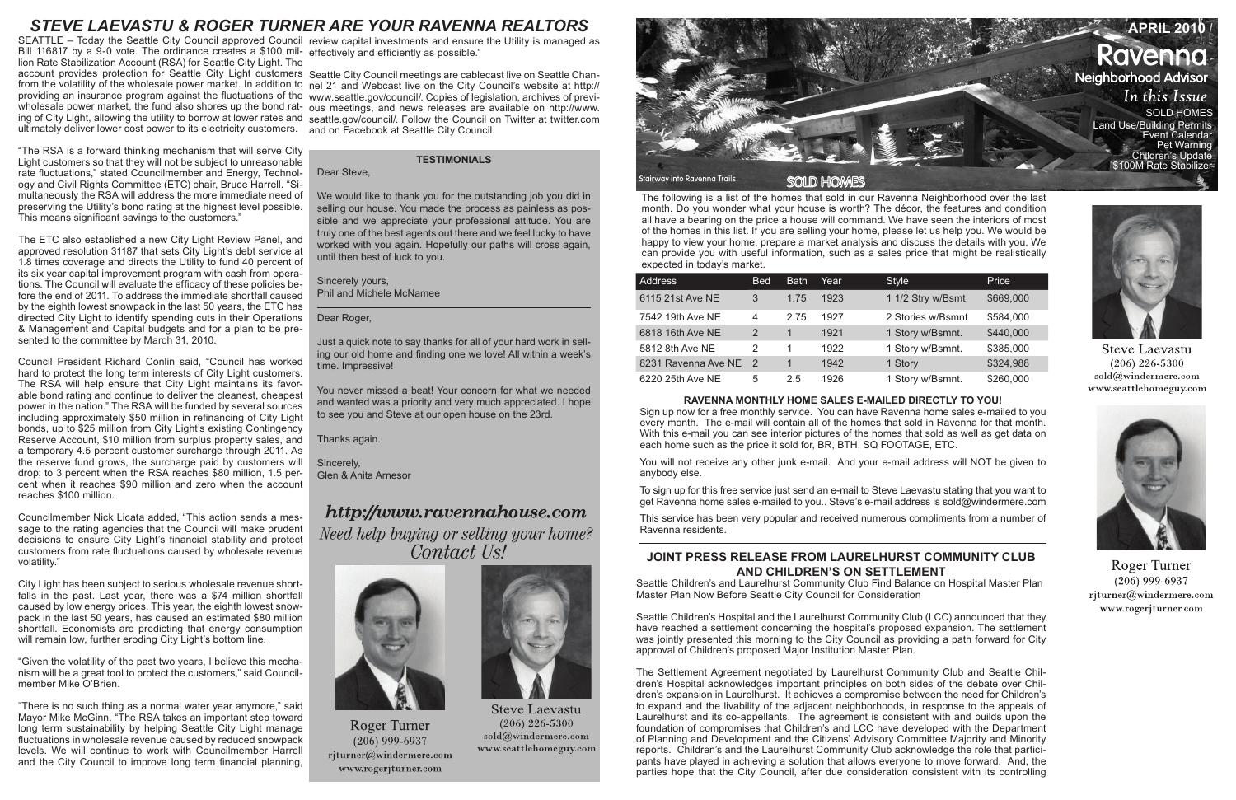The following is a list of the homes that sold in our Ravenna Neighborhood over the last month. Do you wonder what your house is worth? The décor, the features and condition all have a bearing on the price a house will command. We have seen the interiors of most of the homes in this list. If you are selling your home, please let us help you. We would be happy to view your home, prepare a market analysis and discuss the details with you. We can provide you with useful information, such as a sales price that might be realistically expected in today's market.

| <b>Address</b>        | <b>Bed</b> | <b>Bath</b> | Year | <b>Style</b>      | Price     |
|-----------------------|------------|-------------|------|-------------------|-----------|
| 6115 21st Ave NE      | 3          | 1.75        | 1923 | 1 1/2 Stry w/Bsmt | \$669,000 |
| 7542 19th Ave NE      | 4          | 2.75        | 1927 | 2 Stories w/Bsmnt | \$584,000 |
| 6818 16th Ave NE      | 2          | 1           | 1921 | 1 Story w/Bsmnt.  | \$440,000 |
| 5812 8th Ave NE       | 2          | 1           | 1922 | 1 Story w/Bsmnt.  | \$385,000 |
| 8231 Ravenna Ave NE 2 |            |             | 1942 | 1 Story           | \$324,988 |
| 6220 25th Ave NE      | 5          | 2.5         | 1926 | 1 Story w/Bsmnt.  | \$260,000 |

**RAVENNA MONTHLY HOME SALES E-MAILED DIRECTLY TO YOU!** 

We would like to thank you for the outstanding job you did in selling our house. You made the process as painless as possible and we appreciate your professional attitude. You are truly one of the best agents out there and we feel lucky to have worked with you again. Hopefully our paths will cross again, until then best of luck to you.

> Sign up now for a free monthly service. You can have Ravenna home sales e-mailed to you every month. The e-mail will contain all of the homes that sold in Ravenna for that month. With this e-mail you can see interior pictures of the homes that sold as well as get data on each home such as the price it sold for, BR, BTH, SQ FOOTAGE, ETC.



You will not receive any other junk e-mail. And your e-mail address will NOT be given to anybody else.

To sign up for this free service just send an e-mail to Steve Laevastu stating that you want to get Ravenna home sales e-mailed to you.. Steve's e-mail address is sold@windermere.com

This service has been very popular and received numerous compliments from a number of Ravenna residents.

### **TESTIMONIALS**

Dear Steve,

Sincerely yours, Phil and Michele McNamee

Dear Roger,

Just a quick note to say thanks for all of your hard work in selling our old home and finding one we love! All within a week's time. Impressive!

SEATTLE – Today the Seattle City Council approved Council review capital investments and ensure the Utility is managed as Bill 116817 by a 9-0 vote. The ordinance creates a \$100 mil-effectively and efficiently as possible." lion Rate Stabilization Account (RSA) for Seattle City Light. The ultimately deliver lower cost power to its electricity customers.

> You never missed a beat! Your concern for what we needed and wanted was a priority and very much appreciated. I hope to see you and Steve at our open house on the 23rd.

Thanks again.

Sincerely, Glen & Anita Arnesor

# http://www.ravennahouse.com

Need help buying or selling your home? Contact Us!



**Roger Turner**  $(206)$  999-6937 rjturner@windermere.com www.rogerjturner.com



**Steve Laevastu**  $(206)$  226-5300 sold@windermere.com www.seattlehomeguy.com

# **JOINT PRESS RELEASE FROM LAURELHURST COMMUNITY CLUB AND CHILDREN'S ON SETTLEMENT**

Seattle Children's and Laurelhurst Community Club Find Balance on Hospital Master Plan Master Plan Now Before Seattle City Council for Consideration

Seattle Children's Hospital and the Laurelhurst Community Club (LCC) announced that they have reached a settlement concerning the hospital's proposed expansion. The settlement was jointly presented this morning to the City Council as providing a path forward for City approval of Children's proposed Major Institution Master Plan.

The Settlement Agreement negotiated by Laurelhurst Community Club and Seattle Children's Hospital acknowledges important principles on both sides of the debate over Children's expansion in Laurelhurst. It achieves a compromise between the need for Children's to expand and the livability of the adjacent neighborhoods, in response to the appeals of Laurelhurst and its co-appellants. The agreement is consistent with and builds upon the foundation of compromises that Children's and LCC have developed with the Department of Planning and Development and the Citizens' Advisory Committee Majority and Minority reports. Children's and the Laurelhurst Community Club acknowledge the role that participants have played in achieving a solution that allows everyone to move forward. And, the parties hope that the City Council, after due consideration consistent with its controlling



**Steve Laevastu**  $(206)$  226-5300 sold@windermere.com www.seattlehomeguy.com



**Roger Turner**  $(206)$  999-6937 rjturner@windermere.com www.rogerjturner.com

account provides protection for Seattle City Light customers Seattle City Council meetings are cablecast live on Seattle Chanfrom the volatility of the wholesale power market. In addition to nel 21 and Webcast live on the City Council's website at http:// providing an insurance program against the fluctuations of the www.seattle.gov/council/. Copies of legislation, archives of previwholesale power market, the fund also shores up the bond rat-ous meetings, and news releases are available on http://www. ing of City Light, allowing the utility to borrow at lower rates and seattle.gov/council/. Follow the Council on Twitter at twitter.com and on Facebook at Seattle City Council.

"The RSA is a forward thinking mechanism that will serve City Light customers so that they will not be subject to unreasonable rate fluctuations," stated Councilmember and Energy, Technology and Civil Rights Committee (ETC) chair, Bruce Harrell. "Simultaneously the RSA will address the more immediate need of preserving the Utility's bond rating at the highest level possible. This means significant savings to the customers."

The ETC also established a new City Light Review Panel, and approved resolution 31187 that sets City Light's debt service at 1.8 times coverage and directs the Utility to fund 40 percent of its six year capital improvement program with cash from operations. The Council will evaluate the efficacy of these policies before the end of 2011. To address the immediate shortfall caused by the eighth lowest snowpack in the last 50 years, the ETC has directed City Light to identify spending cuts in their Operations & Management and Capital budgets and for a plan to be presented to the committee by March 31, 2010.

Council President Richard Conlin said, "Council has worked hard to protect the long term interests of City Light customers. The RSA will help ensure that City Light maintains its favorable bond rating and continue to deliver the cleanest, cheapest power in the nation." The RSA will be funded by several sources including approximately \$50 million in refinancing of City Light bonds, up to \$25 million from City Light's existing Contingency Reserve Account, \$10 million from surplus property sales, and a temporary 4.5 percent customer surcharge through 2011. As the reserve fund grows, the surcharge paid by customers will drop; to 3 percent when the RSA reaches \$80 million, 1.5 percent when it reaches \$90 million and zero when the account reaches \$100 million.

Councilmember Nick Licata added, "This action sends a message to the rating agencies that the Council will make prudent decisions to ensure City Light's financial stability and protect customers from rate fluctuations caused by wholesale revenue volatility."

City Light has been subject to serious wholesale revenue shortfalls in the past. Last year, there was a \$74 million shortfall caused by low energy prices. This year, the eighth lowest snowpack in the last 50 years, has caused an estimated \$80 million shortfall. Economists are predicting that energy consumption will remain low, further eroding City Light's bottom line.

"Given the volatility of the past two years, I believe this mechanism will be a great tool to protect the customers," said Councilmember Mike O'Brien.

"There is no such thing as a normal water year anymore," said Mayor Mike McGinn. "The RSA takes an important step toward long term sustainability by helping Seattle City Light manage fluctuations in wholesale revenue caused by reduced snowpack levels. We will continue to work with Councilmember Harrell and the City Council to improve long term financial planning,